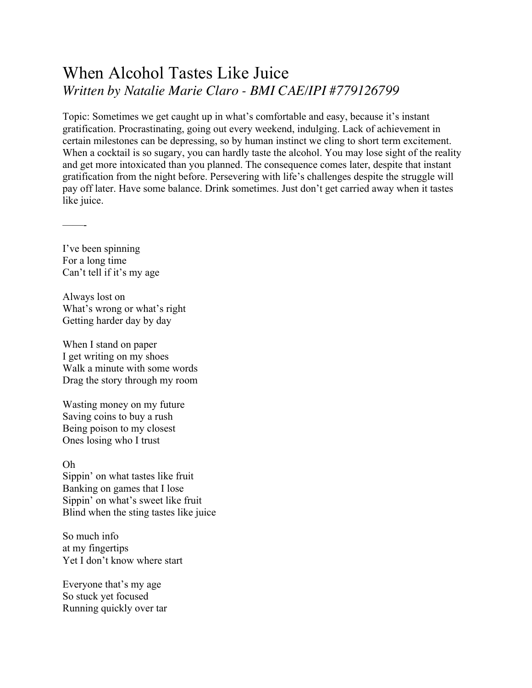## When Alcohol Tastes Like Juice *Written by Natalie Marie Claro - BMI CAE/IPI #779126799*

Topic: Sometimes we get caught up in what's comfortable and easy, because it's instant gratification. Procrastinating, going out every weekend, indulging. Lack of achievement in certain milestones can be depressing, so by human instinct we cling to short term excitement. When a cocktail is so sugary, you can hardly taste the alcohol. You may lose sight of the reality and get more intoxicated than you planned. The consequence comes later, despite that instant gratification from the night before. Persevering with life's challenges despite the struggle will pay off later. Have some balance. Drink sometimes. Just don't get carried away when it tastes like juice.

I've been spinning For a long time Can't tell if it's my age

——-

Always lost on What's wrong or what's right Getting harder day by day

When I stand on paper I get writing on my shoes Walk a minute with some words Drag the story through my room

Wasting money on my future Saving coins to buy a rush Being poison to my closest Ones losing who I trust

Oh Sippin' on what tastes like fruit Banking on games that I lose Sippin' on what's sweet like fruit Blind when the sting tastes like juice

So much info at my fingertips Yet I don't know where start

Everyone that's my age So stuck yet focused Running quickly over tar